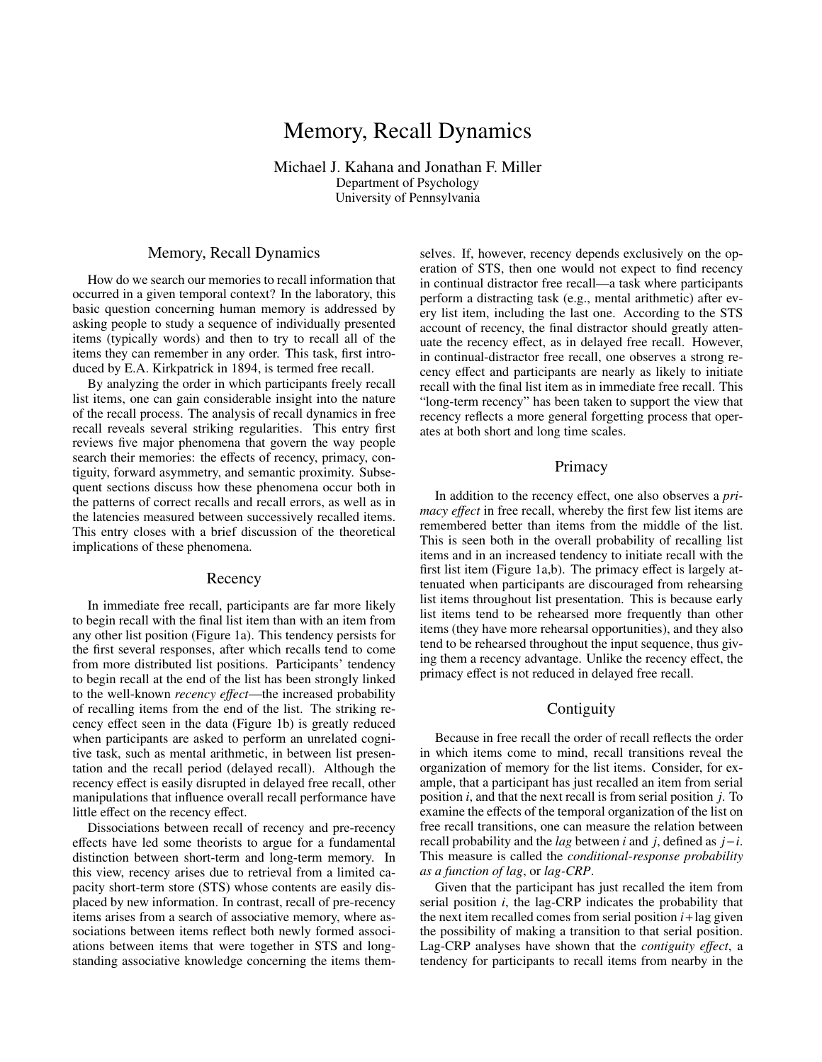# Memory, Recall Dynamics

Michael J. Kahana and Jonathan F. Miller Department of Psychology University of Pennsylvania

# Memory, Recall Dynamics

How do we search our memories to recall information that occurred in a given temporal context? In the laboratory, this basic question concerning human memory is addressed by asking people to study a sequence of individually presented items (typically words) and then to try to recall all of the items they can remember in any order. This task, first introduced by E.A. Kirkpatrick in 1894, is termed free recall.

By analyzing the order in which participants freely recall list items, one can gain considerable insight into the nature of the recall process. The analysis of recall dynamics in free recall reveals several striking regularities. This entry first reviews five major phenomena that govern the way people search their memories: the effects of recency, primacy, contiguity, forward asymmetry, and semantic proximity. Subsequent sections discuss how these phenomena occur both in the patterns of correct recalls and recall errors, as well as in the latencies measured between successively recalled items. This entry closes with a brief discussion of the theoretical implications of these phenomena.

#### Recency

In immediate free recall, participants are far more likely to begin recall with the final list item than with an item from any other list position (Figure 1a). This tendency persists for the first several responses, after which recalls tend to come from more distributed list positions. Participants' tendency to begin recall at the end of the list has been strongly linked to the well-known *recency e*ff*ect*—the increased probability of recalling items from the end of the list. The striking recency effect seen in the data (Figure 1b) is greatly reduced when participants are asked to perform an unrelated cognitive task, such as mental arithmetic, in between list presentation and the recall period (delayed recall). Although the recency effect is easily disrupted in delayed free recall, other manipulations that influence overall recall performance have little effect on the recency effect.

Dissociations between recall of recency and pre-recency effects have led some theorists to argue for a fundamental distinction between short-term and long-term memory. In this view, recency arises due to retrieval from a limited capacity short-term store (STS) whose contents are easily displaced by new information. In contrast, recall of pre-recency items arises from a search of associative memory, where associations between items reflect both newly formed associations between items that were together in STS and longstanding associative knowledge concerning the items themselves. If, however, recency depends exclusively on the operation of STS, then one would not expect to find recency in continual distractor free recall—a task where participants perform a distracting task (e.g., mental arithmetic) after every list item, including the last one. According to the STS account of recency, the final distractor should greatly attenuate the recency effect, as in delayed free recall. However, in continual-distractor free recall, one observes a strong recency effect and participants are nearly as likely to initiate recall with the final list item as in immediate free recall. This "long-term recency" has been taken to support the view that recency reflects a more general forgetting process that operates at both short and long time scales.

#### Primacy

In addition to the recency effect, one also observes a *primacy effect* in free recall, whereby the first few list items are remembered better than items from the middle of the list. This is seen both in the overall probability of recalling list items and in an increased tendency to initiate recall with the first list item (Figure 1a,b). The primacy effect is largely attenuated when participants are discouraged from rehearsing list items throughout list presentation. This is because early list items tend to be rehearsed more frequently than other items (they have more rehearsal opportunities), and they also tend to be rehearsed throughout the input sequence, thus giving them a recency advantage. Unlike the recency effect, the primacy effect is not reduced in delayed free recall.

# **Contiguity**

Because in free recall the order of recall reflects the order in which items come to mind, recall transitions reveal the organization of memory for the list items. Consider, for example, that a participant has just recalled an item from serial position *i*, and that the next recall is from serial position *j*. To examine the effects of the temporal organization of the list on free recall transitions, one can measure the relation between recall probability and the *lag* between *i* and *j*, defined as *j*−*i*. This measure is called the *conditional-response probability as a function of lag*, or *lag-CRP*.

Given that the participant has just recalled the item from serial position *i*, the lag-CRP indicates the probability that the next item recalled comes from serial position  $i+$ lag given the possibility of making a transition to that serial position. Lag-CRP analyses have shown that the *contiguity e*ff*ect*, a tendency for participants to recall items from nearby in the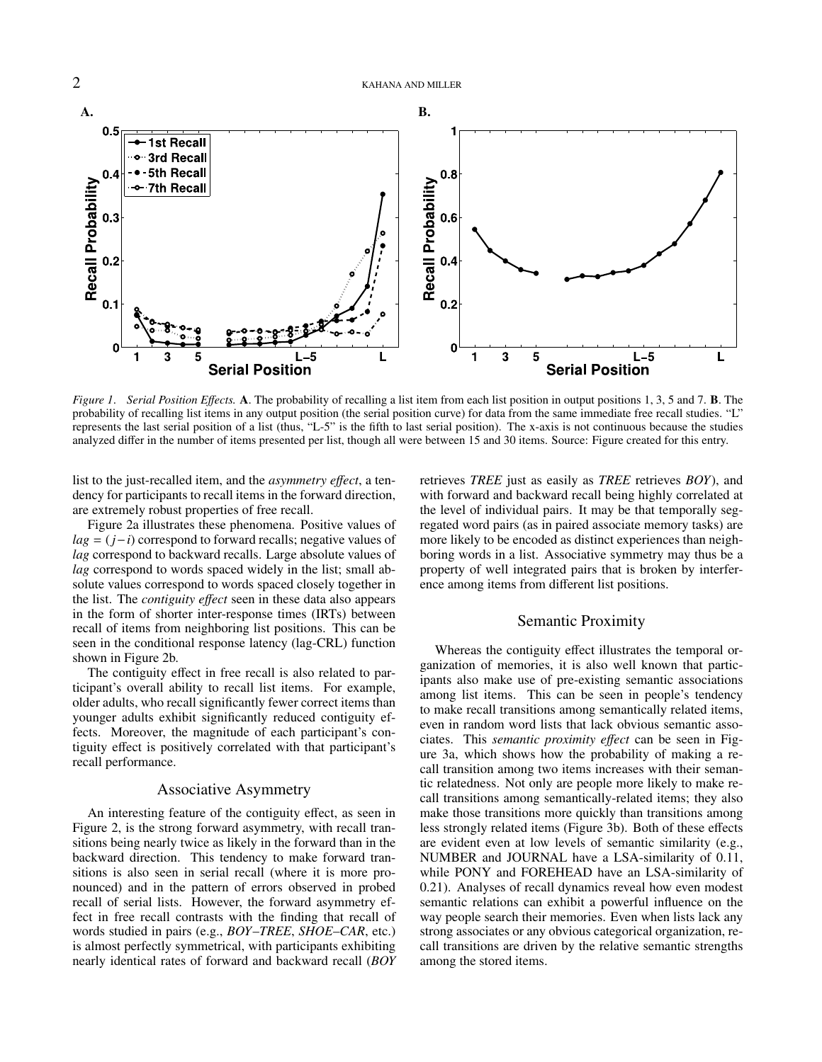

*Figure 1*. *Serial Position E*ff*ects.* A. The probability of recalling a list item from each list position in output positions 1, 3, 5 and 7. B. The probability of recalling list items in any output position (the serial position curve) for data from the same immediate free recall studies. "L" represents the last serial position of a list (thus, "L-5" is the fifth to last serial position). The x-axis is not continuous because the studies analyzed differ in the number of items presented per list, though all were between 15 and 30 items. Source: Figure created for this entry.

list to the just-recalled item, and the *asymmetry e*ff*ect*, a tendency for participants to recall items in the forward direction, are extremely robust properties of free recall.

Figure 2a illustrates these phenomena. Positive values of *lag* = (*j*−*i*) correspond to forward recalls; negative values of *lag* correspond to backward recalls. Large absolute values of *lag* correspond to words spaced widely in the list; small absolute values correspond to words spaced closely together in the list. The *contiguity e*ff*ect* seen in these data also appears in the form of shorter inter-response times (IRTs) between recall of items from neighboring list positions. This can be seen in the conditional response latency (lag-CRL) function shown in Figure 2b.

The contiguity effect in free recall is also related to participant's overall ability to recall list items. For example, older adults, who recall significantly fewer correct items than younger adults exhibit significantly reduced contiguity effects. Moreover, the magnitude of each participant's contiguity effect is positively correlated with that participant's recall performance.

## Associative Asymmetry

An interesting feature of the contiguity effect, as seen in Figure 2, is the strong forward asymmetry, with recall transitions being nearly twice as likely in the forward than in the backward direction. This tendency to make forward transitions is also seen in serial recall (where it is more pronounced) and in the pattern of errors observed in probed recall of serial lists. However, the forward asymmetry effect in free recall contrasts with the finding that recall of words studied in pairs (e.g., *BOY*–*TREE*, *SHOE*–*CAR*, etc.) is almost perfectly symmetrical, with participants exhibiting nearly identical rates of forward and backward recall (*BOY* retrieves *TREE* just as easily as *TREE* retrieves *BOY*), and with forward and backward recall being highly correlated at the level of individual pairs. It may be that temporally segregated word pairs (as in paired associate memory tasks) are more likely to be encoded as distinct experiences than neighboring words in a list. Associative symmetry may thus be a property of well integrated pairs that is broken by interference among items from different list positions.

#### Semantic Proximity

Whereas the contiguity effect illustrates the temporal organization of memories, it is also well known that participants also make use of pre-existing semantic associations among list items. This can be seen in people's tendency to make recall transitions among semantically related items, even in random word lists that lack obvious semantic associates. This *semantic proximity e*ff*ect* can be seen in Figure 3a, which shows how the probability of making a recall transition among two items increases with their semantic relatedness. Not only are people more likely to make recall transitions among semantically-related items; they also make those transitions more quickly than transitions among less strongly related items (Figure 3b). Both of these effects are evident even at low levels of semantic similarity (e.g., NUMBER and JOURNAL have a LSA-similarity of 0.11, while PONY and FOREHEAD have an LSA-similarity of 0.21). Analyses of recall dynamics reveal how even modest semantic relations can exhibit a powerful influence on the way people search their memories. Even when lists lack any strong associates or any obvious categorical organization, recall transitions are driven by the relative semantic strengths among the stored items.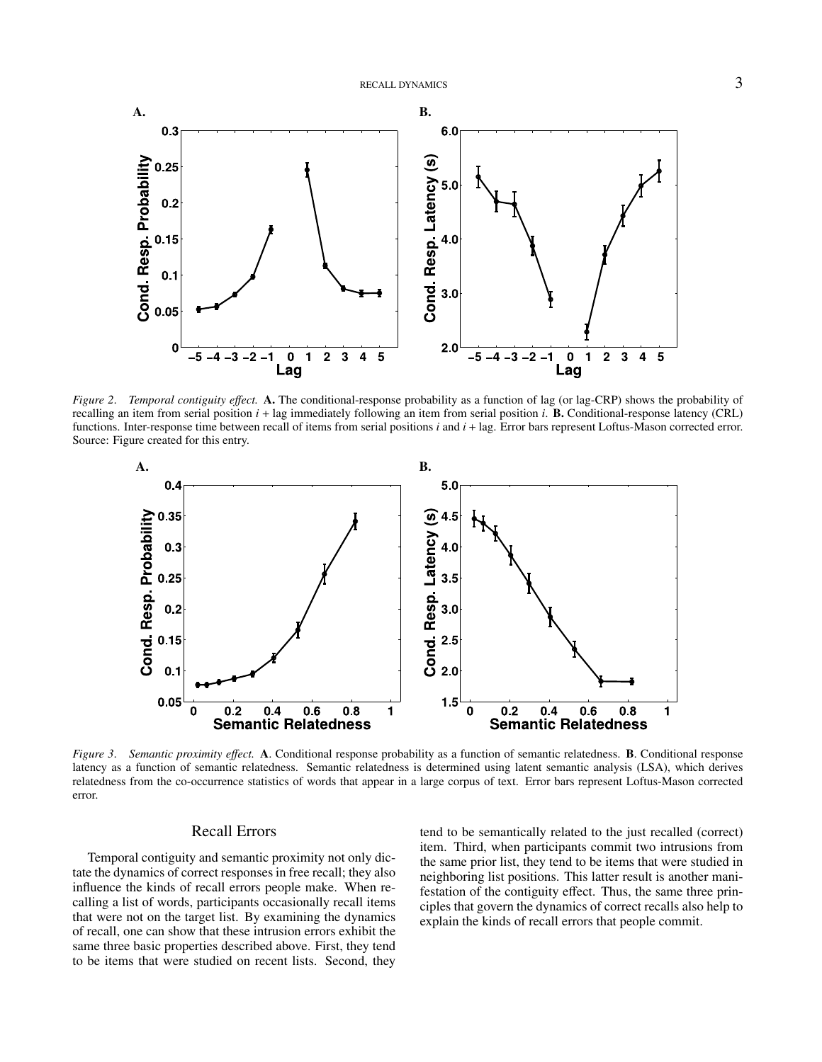

*Figure 2. Temporal contiguity effect.* A. The conditional-response probability as a function of lag (or lag-CRP) shows the probability of recalling an item from serial position *i* + lag immediately following an item from serial position *i*. B. Conditional-response latency (CRL) functions. Inter-response time between recall of items from serial positions *i* and *i* + lag. Error bars represent Loftus-Mason corrected error. Source: Figure created for this entry.



*Figure 3*. *Semantic proximity e*ff*ect.* A. Conditional response probability as a function of semantic relatedness. B. Conditional response latency as a function of semantic relatedness. Semantic relatedness is determined using latent semantic analysis (LSA), which derives relatedness from the co-occurrence statistics of words that appear in a large corpus of text. Error bars represent Loftus-Mason corrected error.

#### Recall Errors

Temporal contiguity and semantic proximity not only dictate the dynamics of correct responses in free recall; they also influence the kinds of recall errors people make. When recalling a list of words, participants occasionally recall items that were not on the target list. By examining the dynamics of recall, one can show that these intrusion errors exhibit the same three basic properties described above. First, they tend to be items that were studied on recent lists. Second, they

tend to be semantically related to the just recalled (correct) item. Third, when participants commit two intrusions from the same prior list, they tend to be items that were studied in neighboring list positions. This latter result is another manifestation of the contiguity effect. Thus, the same three principles that govern the dynamics of correct recalls also help to explain the kinds of recall errors that people commit.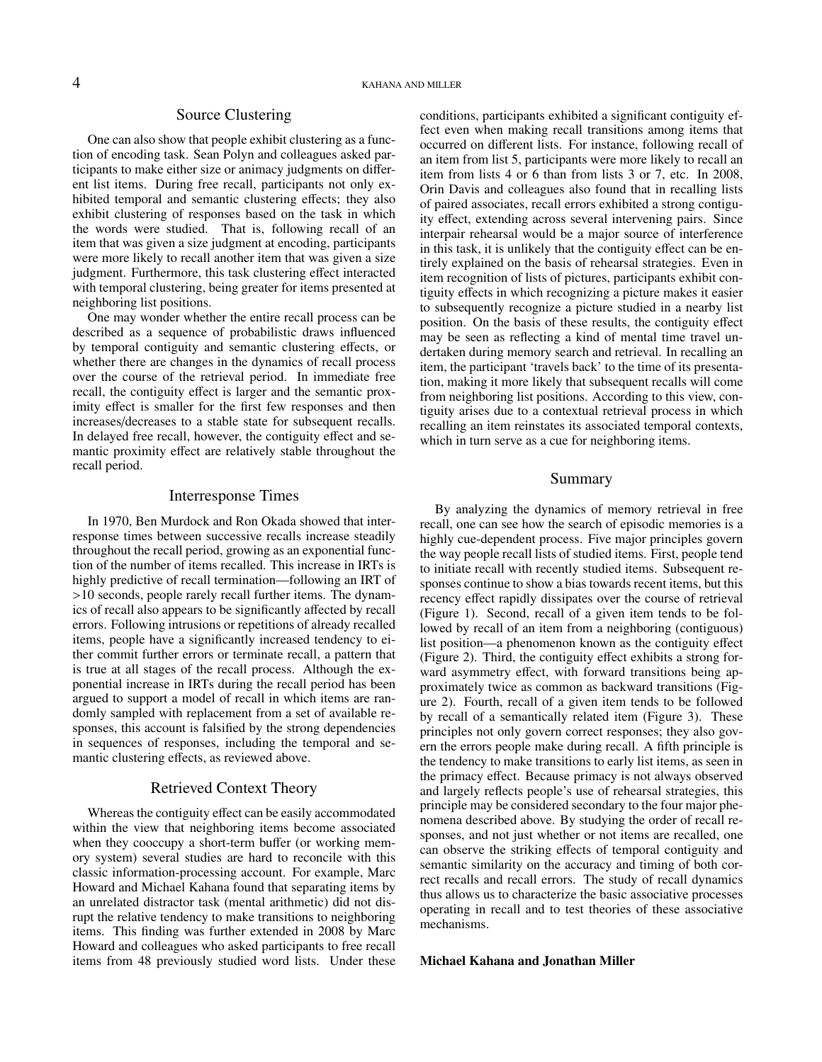#### Source Clustering

One can also show that people exhibit clustering as a function of encoding task. Sean Polyn and colleagues asked participants to make either size or animacy judgments on different list items. During free recall, participants not only exhibited temporal and semantic clustering effects; they also exhibit clustering of responses based on the task in which the words were studied. That is, following recall of an item that was given a size judgment at encoding, participants were more likely to recall another item that was given a size judgment. Furthermore, this task clustering effect interacted with temporal clustering, being greater for items presented at neighboring list positions.

One may wonder whether the entire recall process can be described as a sequence of probabilistic draws influenced by temporal contiguity and semantic clustering effects, or whether there are changes in the dynamics of recall process over the course of the retrieval period. In immediate free recall, the contiguity effect is larger and the semantic proximity effect is smaller for the first few responses and then increases/decreases to a stable state for subsequent recalls. In delayed free recall, however, the contiguity effect and semantic proximity effect are relatively stable throughout the recall period.

# Interresponse Times

In 1970, Ben Murdock and Ron Okada showed that interresponse times between successive recalls increase steadily throughout the recall period, growing as an exponential function of the number of items recalled. This increase in IRTs is highly predictive of recall termination—following an IRT of >10 seconds, people rarely recall further items. The dynamics of recall also appears to be significantly affected by recall errors. Following intrusions or repetitions of already recalled items, people have a significantly increased tendency to either commit further errors or terminate recall, a pattern that is true at all stages of the recall process. Although the exponential increase in IRTs during the recall period has been argued to support a model of recall in which items are randomly sampled with replacement from a set of available responses, this account is falsified by the strong dependencies in sequences of responses, including the temporal and semantic clustering effects, as reviewed above.

## Retrieved Context Theory

Whereas the contiguity effect can be easily accommodated within the view that neighboring items become associated when they cooccupy a short-term buffer (or working memory system) several studies are hard to reconcile with this classic information-processing account. For example, Marc Howard and Michael Kahana found that separating items by an unrelated distractor task (mental arithmetic) did not disrupt the relative tendency to make transitions to neighboring items. This finding was further extended in 2008 by Marc Howard and colleagues who asked participants to free recall items from 48 previously studied word lists. Under these conditions, participants exhibited a significant contiguity effect even when making recall transitions among items that occurred on different lists. For instance, following recall of an item from list 5, participants were more likely to recall an item from lists 4 or 6 than from lists 3 or 7, etc. In 2008, Orin Davis and colleagues also found that in recalling lists of paired associates, recall errors exhibited a strong contiguity effect, extending across several intervening pairs. Since interpair rehearsal would be a major source of interference in this task, it is unlikely that the contiguity effect can be entirely explained on the basis of rehearsal strategies. Even in item recognition of lists of pictures, participants exhibit contiguity effects in which recognizing a picture makes it easier to subsequently recognize a picture studied in a nearby list position. On the basis of these results, the contiguity effect may be seen as reflecting a kind of mental time travel undertaken during memory search and retrieval. In recalling an item, the participant 'travels back' to the time of its presentation, making it more likely that subsequent recalls will come from neighboring list positions. According to this view, contiguity arises due to a contextual retrieval process in which recalling an item reinstates its associated temporal contexts, which in turn serve as a cue for neighboring items.

## Summary

By analyzing the dynamics of memory retrieval in free recall, one can see how the search of episodic memories is a highly cue-dependent process. Five major principles govern the way people recall lists of studied items. First, people tend to initiate recall with recently studied items. Subsequent responses continue to show a bias towards recent items, but this recency effect rapidly dissipates over the course of retrieval (Figure 1). Second, recall of a given item tends to be followed by recall of an item from a neighboring (contiguous) list position—a phenomenon known as the contiguity effect (Figure 2). Third, the contiguity effect exhibits a strong forward asymmetry effect, with forward transitions being approximately twice as common as backward transitions (Figure 2). Fourth, recall of a given item tends to be followed by recall of a semantically related item (Figure 3). These principles not only govern correct responses; they also govern the errors people make during recall. A fifth principle is the tendency to make transitions to early list items, as seen in the primacy effect. Because primacy is not always observed and largely reflects people's use of rehearsal strategies, this principle may be considered secondary to the four major phenomena described above. By studying the order of recall responses, and not just whether or not items are recalled, one can observe the striking effects of temporal contiguity and semantic similarity on the accuracy and timing of both correct recalls and recall errors. The study of recall dynamics thus allows us to characterize the basic associative processes operating in recall and to test theories of these associative mechanisms.

#### Michael Kahana and Jonathan Miller